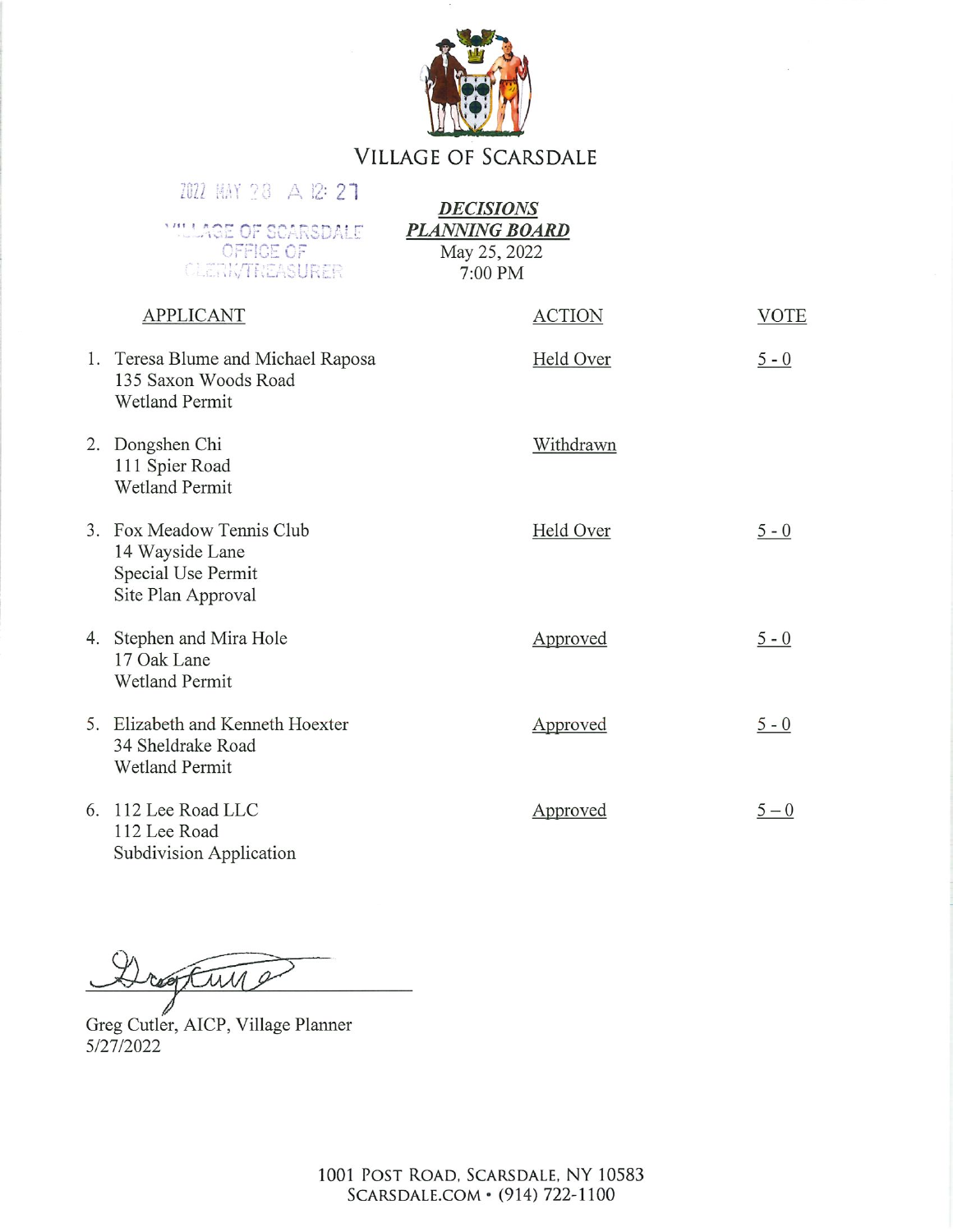

## **VILLAGE OF SCARSDALE**

|    | 2022 MAY 28 A 12: 27                                                                     | <b>DECISIONS</b>                                 |             |
|----|------------------------------------------------------------------------------------------|--------------------------------------------------|-------------|
|    | <b>MALAGE OF SCARSDALE</b><br>OFFICE OF<br>CLERK/TREASURER                               | <b>PLANNING BOARD</b><br>May 25, 2022<br>7:00 PM |             |
|    | <b>APPLICANT</b>                                                                         | <b>ACTION</b>                                    | <b>VOTE</b> |
|    | 1. Teresa Blume and Michael Raposa<br>135 Saxon Woods Road<br><b>Wetland Permit</b>      | Held Over                                        | $5 - 0$     |
|    | 2. Dongshen Chi<br>111 Spier Road<br><b>Wetland Permit</b>                               | Withdrawn                                        |             |
|    | 3. Fox Meadow Tennis Club<br>14 Wayside Lane<br>Special Use Permit<br>Site Plan Approval | Held Over                                        | $5 - 0$     |
|    | 4. Stephen and Mira Hole<br>17 Oak Lane<br><b>Wetland Permit</b>                         | Approved                                         | $5 - 0$     |
|    | 5. Elizabeth and Kenneth Hoexter<br>34 Sheldrake Road<br><b>Wetland Permit</b>           | Approved                                         | $5 - 0$     |
| 6. | 112 Lee Road LLC<br>112 Lee Road                                                         | Approved                                         | $5 - 0$     |

Subdivision Application

reasting

Greg Cutler, AICP, Village Planner 5/27/2022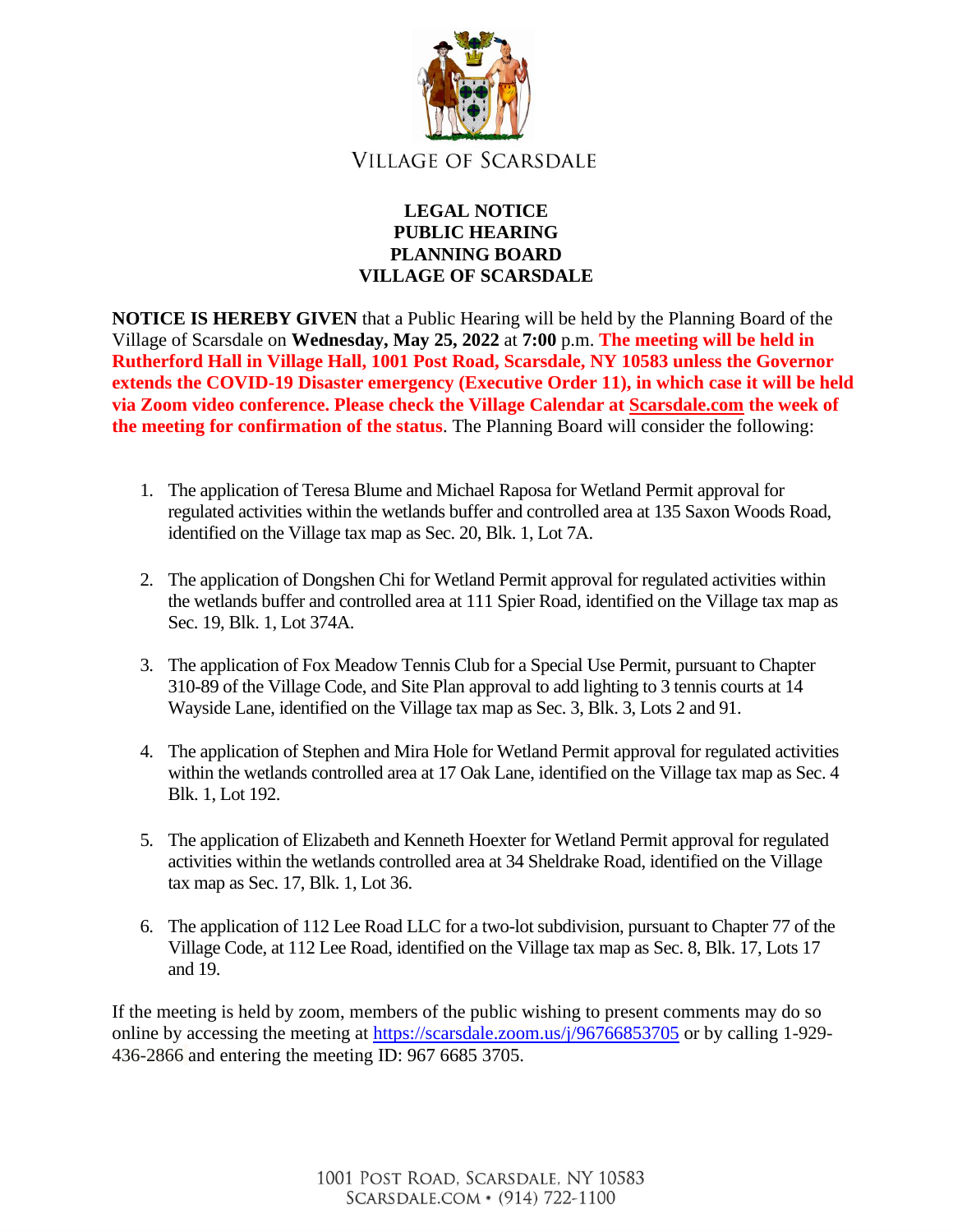

## **LEGAL NOTICE PUBLIC HEARING PLANNING BOARD VILLAGE OF SCARSDALE**

**NOTICE IS HEREBY GIVEN** that a Public Hearing will be held by the Planning Board of the Village of Scarsdale on **Wednesday, May 25, 2022** at **7:00** p.m. **The meeting will be held in Rutherford Hall in Village Hall, 1001 Post Road, Scarsdale, NY 10583 unless the Governor extends the COVID-19 Disaster emergency (Executive Order 11), in which case it will be held via Zoom video conference. Please check the Village Calendar at [Scarsdale.com](http://scarsdale.com/) the week of the meeting for confirmation of the status**. The Planning Board will consider the following:

- 1. The application of Teresa Blume and Michael Raposa for Wetland Permit approval for regulated activities within the wetlands buffer and controlled area at 135 Saxon Woods Road, identified on the Village tax map as Sec. 20, Blk. 1, Lot 7A.
- 2. The application of Dongshen Chi for Wetland Permit approval for regulated activities within the wetlands buffer and controlled area at 111 Spier Road, identified on the Village tax map as Sec. 19, Blk. 1, Lot 374A.
- 3. The application of Fox Meadow Tennis Club for a Special Use Permit, pursuant to Chapter 310-89 of the Village Code, and Site Plan approval to add lighting to 3 tennis courts at 14 Wayside Lane, identified on the Village tax map as Sec. 3, Blk. 3, Lots 2 and 91.
- 4. The application of Stephen and Mira Hole for Wetland Permit approval for regulated activities within the wetlands controlled area at 17 Oak Lane, identified on the Village tax map as Sec. 4 Blk. 1, Lot 192.
- 5. The application of Elizabeth and Kenneth Hoexter for Wetland Permit approval for regulated activities within the wetlands controlled area at 34 Sheldrake Road, identified on the Village tax map as Sec. 17, Blk. 1, Lot 36.
- 6. The application of 112 Lee Road LLC for a two-lot subdivision, pursuant to Chapter 77 of the Village Code, at 112 Lee Road, identified on the Village tax map as Sec. 8, Blk. 17, Lots 17 and 19.

If the meeting is held by zoom, members of the public wishing to present comments may do so online by accessing the meeting at<https://scarsdale.zoom.us/j/96766853705> or by calling 1-929- 436-2866 and entering the meeting ID: 967 6685 3705.